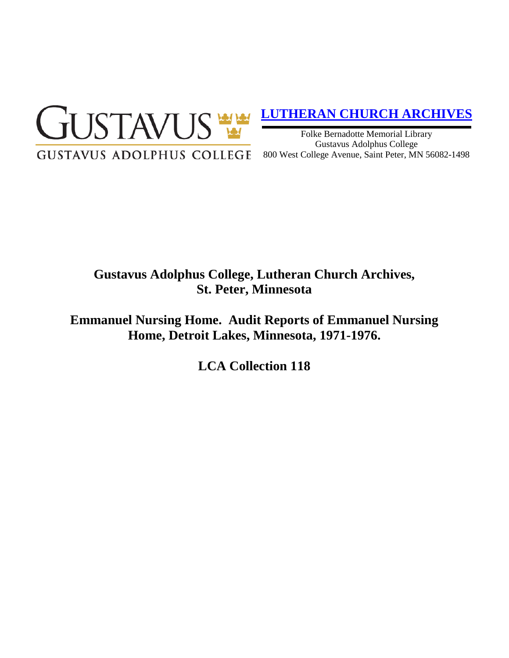

## **[LUTHERAN CHURCH ARCHIVES](http://gustavus.edu/academics/library/archives/)**

Folke Bernadotte Memorial Library Gustavus Adolphus College 800 West College Avenue, Saint Peter, MN 56082-1498

# **Gustavus Adolphus College, Lutheran Church Archives, St. Peter, Minnesota**

**Emmanuel Nursing Home. Audit Reports of Emmanuel Nursing Home, Detroit Lakes, Minnesota, 1971-1976.**

**LCA Collection 118**